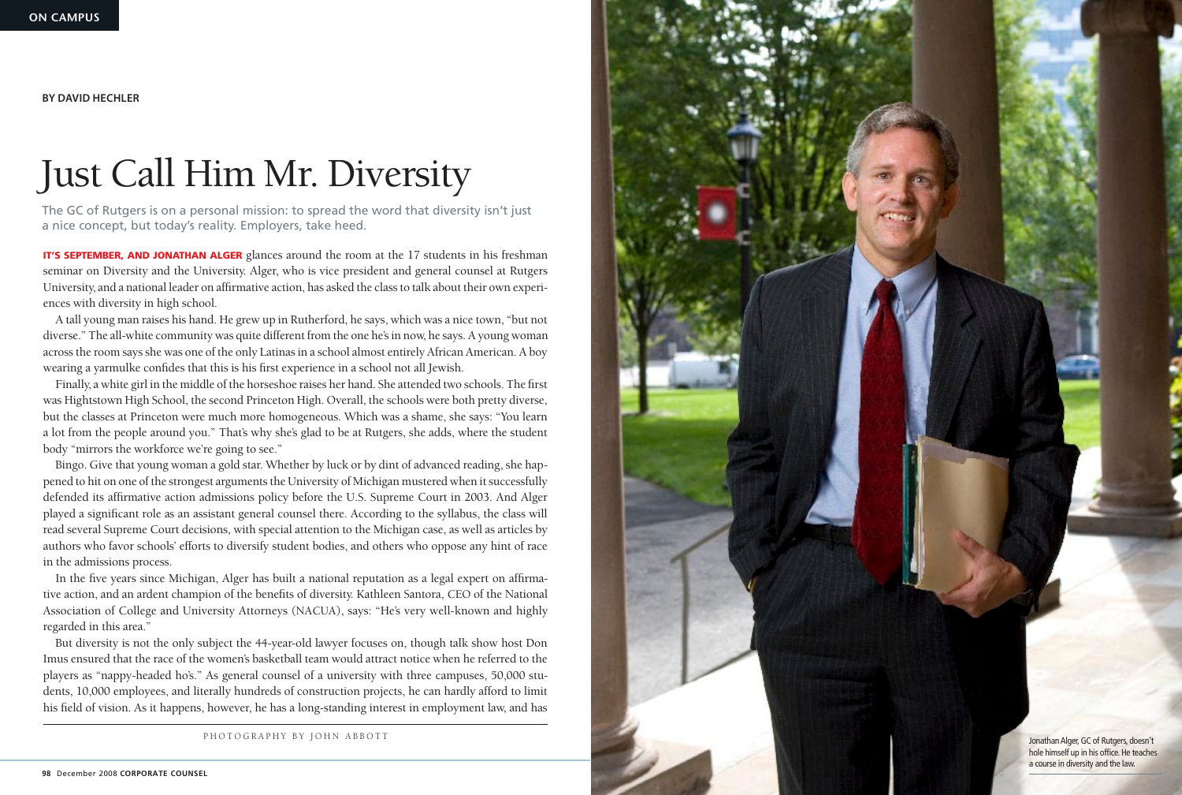

hole himself up in his office. He teaches a course in diversity and the law.

**IT'S SEPTEMBER, AND JONATHAN ALGER** glances around the room at the 17 students in his freshman seminar on Diversity and the University. Alger, who is vice president and general counsel at Rutgers University, and a national leader on affirmative action, has asked the class to talk about their own experiences with diversity in high school.

A tall young man raises his hand. He grew up in Rutherford, he says, which was a nice town, "but not diverse." The all-white community was quite different from the one he's in now, he says. A young woman across the room says she was one of the only Latinas in a school almost entirely African American. A boy wearing a yarmulke confides that this is his first experience in a school not all Jewish.

Finally, a white girl in the middle of the horseshoe raises her hand. She attended two schools. The first was Hightstown High School, the second Princeton High. Overall, the schools were both pretty diverse, but the classes at Princeton were much more homogeneous. Which was a shame, she says: "You learn a lot from the people around you." That's why she's glad to be at Rutgers, she adds, where the student body "mirrors the workforce we're going to see."

Bingo. Give that young woman a gold star. Whether by luck or by dint of advanced reading, she happened to hit on one of the strongest arguments the University of Michigan mustered when it successfully defended its affirmative action admissions policy before the U.S. Supreme Court in 2003. And Alger played a significant role as an assistant general counsel there. According to the syllabus, the class will read several Supreme Court decisions, with special attention to the Michigan case, as well as articles by authors who favor schools' efforts to diversify student bodies, and others who oppose any hint of race in the admissions process.

In the five years since Michigan, Alger has built a national reputation as a legal expert on affirmative action, and an ardent champion of the benefits of diversity. Kathleen Santora, CEO of the National Association of College and University Attorneys (NACUA), says: "He's very well-known and highly regarded in this area."

But diversity is not the only subject the 44-year-old lawyer focuses on, though talk show host Don Imus ensured that the race of the women's basketball team would attract notice when he referred to the players as "nappy-headed ho's." As general counsel of a university with three campuses, 50,000 students, 10,000 employees, and literally hundreds of construction projects, he can hardly afford to limit his field of vision. As it happens, however, he has a long-standing interest in employment law, and has

## Just Call Him Mr. Diversity

The GC of Rutgers is on a personal mission: to spread the word that diversity isn't just a nice concept, but today's reality. Employers, take heed.

**BY DAVID HECHLER**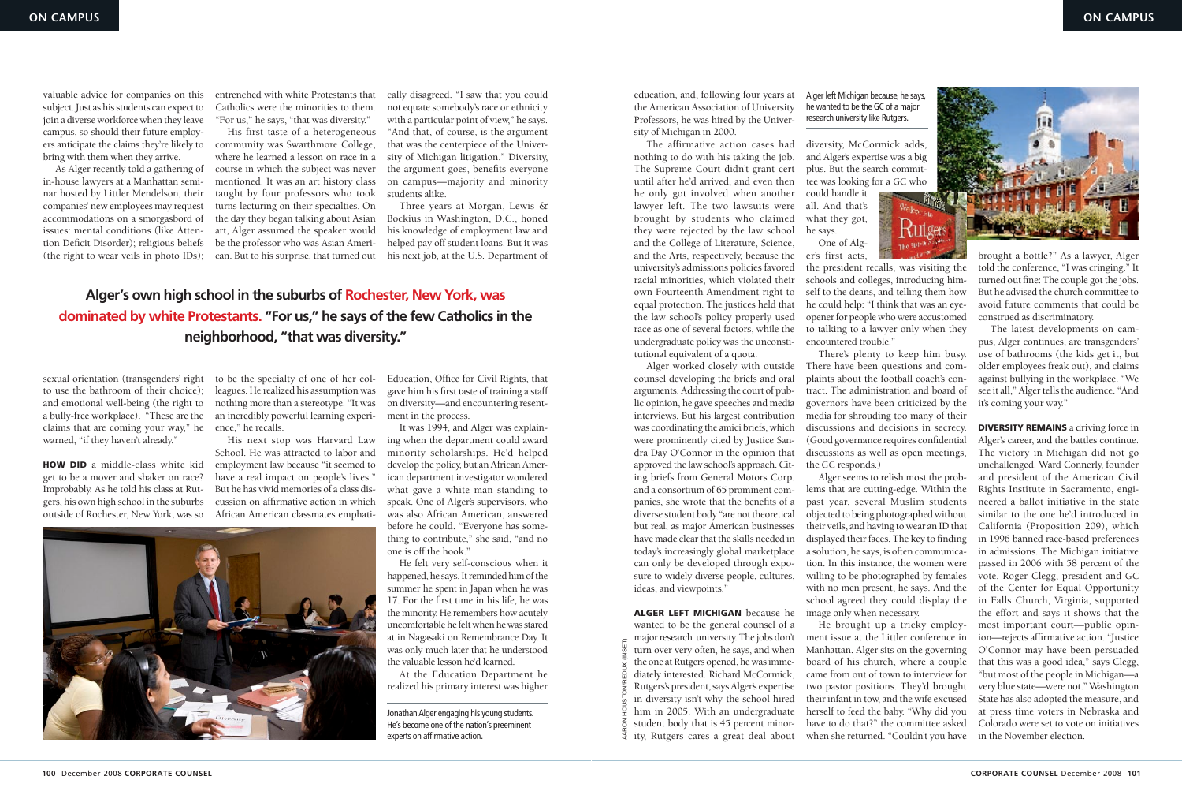

valuable advice for companies on this subject. Just as his students can expect to join a diverse workforce when they leave campus, so should their future employers anticipate the claims they're likely to bring with them when they arrive.

As Alger recently told a gathering of in-house lawyers at a Manhattan seminar hosted by Littler Mendelson, their companies' new employees may request accommodations on a smorgasbord of issues: mental conditions (like Attention Deficit Disorder); religious beliefs (the right to wear veils in photo IDs);

**HOW DID** a middle-class white kid get to be a mover and shaker on race? Improbably. As he told his class at Rutgers, his own high school in the suburbs outside of Rochester, New York, was so

sexual orientation (transgenders' right to use the bathroom of their choice); and emotional well-being (the right to a bully-free workplace). "These are the claims that are coming your way," he warned, "if they haven't already."

entrenched with white Protestants that Catholics were the minorities to them. "For us," he says, "that was diversity."

His first taste of a heterogeneous community was Swarthmore College, where he learned a lesson on race in a course in which the subject was never mentioned. It was an art history class taught by four professors who took turns lecturing on their specialties. On the day they began talking about Asian art, Alger assumed the speaker would be the professor who was Asian American. But to his surprise, that turned out

to be the specialty of one of her colleagues. He realized his assumption was nothing more than a stereotype. "It was an incredibly powerful learning experience," he recalls.

His next stop was Harvard Law School. He was attracted to labor and employment law because "it seemed to have a real impact on people's lives." But he has vivid memories of a class discussion on affirmative action in which African American classmates emphati-

cally disagreed. "I saw that you could not equate somebody's race or ethnicity with a particular point of view," he says. "And that, of course, is the argument that was the centerpiece of the University of Michigan litigation." Diversity, the argument goes, benefits everyone on campus—majority and minority students alike.

Three years at Morgan, Lewis & Bockius in Washington, D.C., honed his knowledge of employment law and helped pay off student loans. But it was his next job, at the U.S. Department of

Education, Office for Civil Rights, that gave him his first taste of training a staff on diversity—and encountering resentment in the process.

> Alger left Michigan because he wanted to be the general counsel of a major research university. The jobs don't turn over very often, he says, and when the one at Rutgers opened, he was immediately interested. Richard McCormick, Rutgers's president, says Alger's expertise in diversity isn't why the school hired him in 2005. With an undergraduate student body that is 45 percent minor- $\bar{\xi}$  ity, Rutgers cares a great deal about

It was 1994, and Alger was explaining when the department could award minority scholarships. He'd helped develop the policy, but an African American department investigator wondered what gave a white man standing to speak. One of Alger's supervisors, who was also African American, answered before he could. "Everyone has something to contribute," she said, "and no one is off the hook."

He felt very self-conscious when it happened, he says. It reminded him of the summer he spent in Japan when he was 17. For the first time in his life, he was the minority. He remembers how acutely uncomfortable he felt when he was stared at in Nagasaki on Remembrance Day. It was only much later that he understood the valuable lesson he'd learned.

At the Education Department he realized his primary interest was higher

He brought up a tricky employment issue at the Littler conference in Manhattan. Alger sits on the governing board of his church, where a couple came from out of town to interview for two pastor positions. They'd brought their infant in tow, and the wife excused herself to feed the baby. "Why did you have to do that?" the committee asked when she returned. "Couldn't you have in the November election. E major research dinversity. The jobs don't intent issue at the Entire conference in their rejects animative act<br>
E turn over very often, he says, and when Manhattan. Alger sits on the governing O'Connor may have been<br>
di



Jonathan Alger engaging his young students. He's become one of the nation's preeminent experts on affirmative action.

education, and, following four years at the American Association of University Professors, he was hired by the University of Michigan in 2000.

The affirmative action cases had diversity, McCormick adds, nothing to do with his taking the job. The Supreme Court didn't grant cert until after he'd arrived, and even then he only got involved when another lawyer left. The two lawsuits were brought by students who claimed they were rejected by the law school and the College of Literature, Science, and the Arts, respectively, because the er's first acts, university's admissions policies favored racial minorities, which violated their own Fourteenth Amendment right to equal protection. The justices held that the law school's policy properly used race as one of several factors, while the undergraduate policy was the unconstitutional equivalent of a quota.

> **DIVERSITY REMAINS** a driving force in Alger's career, and the battles continue. The victory in Michigan did not go unchallenged. Ward Connerly, founder and president of the American Civil Rights Institute in Sacramento, engineered a ballot initiative in the state similar to the one he'd introduced in California (Proposition 209), which in 1996 banned race-based preferences in admissions. The Michigan initiative passed in 2006 with 58 percent of the vote. Roger Clegg, president and GC of the Center for Equal Opportunity in Falls Church, Virginia, supported the effort and says it shows that the most important court—public opinion—rejects affirmative action. "Justice O'Connor may have been persuaded that this was a good idea," says Clegg, "but most of the people in Michigan—a very blue state—were not." Washington State has also adopted the measure, and at press time voters in Nebraska and Colorado were set to vote on initiatives

Alger worked closely with outside counsel developing the briefs and oral arguments. Addressing the court of public opinion, he gave speeches and media interviews. But his largest contribution was coordinating the amici briefs, which were prominently cited by Justice Sandra Day O'Connor in the opinion that approved the law school's approach. Citing briefs from General Motors Corp. and a consortium of 65 prominent companies, she wrote that the benefits of a diverse student body "are not theoretical but real, as major American businesses have made clear that the skills needed in today's increasingly global marketplace can only be developed through exposure to widely diverse people, cultures, ideas, and viewpoints."

and Alger's expertise was a big plus. But the search committee was looking for a GC who

could handle it all. And that's what they got, he says. One of Alg-



the president recalls, was visiting the schools and colleges, introducing himself to the deans, and telling them how he could help: "I think that was an eyeopener for people who were accustomed to talking to a lawyer only when they encountered trouble."

There's plenty to keep him busy. There have been questions and complaints about the football coach's contract. The administration and board of governors have been criticized by the media for shrouding too many of their discussions and decisions in secrecy. (Good governance requires confidential discussions as well as open meetings, the GC responds.)

Alger seems to relish most the problems that are cutting-edge. Within the past year, several Muslim students objected to being photographed without their veils, and having to wear an ID that displayed their faces. The key to finding a solution, he says, is often communication. In this instance, the women were willing to be photographed by females with no men present, he says. And the school agreed they could display the image only when necessary.

brought a bottle?" As a lawyer, Alger told the conference, "I was cringing." It turned out fine: The couple got the jobs. But he advised the church committee to avoid future comments that could be construed as discriminatory.

The latest developments on campus, Alger continues, are transgenders' use of bathrooms (the kids get it, but older employees freak out), and claims against bullying in the workplace. "We see it all," Alger tells the audience. "And it's coming your way."

Alger left Michigan because, he says, he wanted to be the GC of a major research university like Rutgers.

## **Alger's own high school in the suburbs of Rochester, New York, was dominated by white Protestants. "For us," he says of the few Catholics in the neighborhood, "that was diversity."**